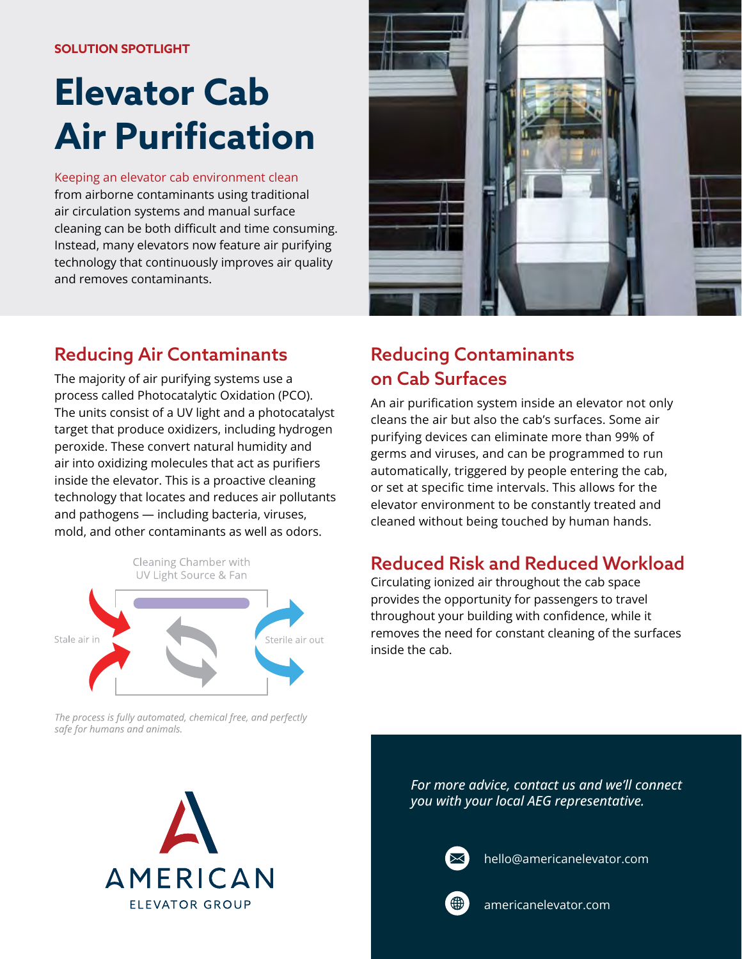# **Elevator Cab Air Purification**

Keeping an elevator cab environment clean from airborne contaminants using traditional air circulation systems and manual surface cleaning can be both difficult and time consuming. Instead, many elevators now feature air purifying technology that continuously improves air quality and removes contaminants.



## Reducing Air Contaminants

The majority of air purifying systems use a process called Photocatalytic Oxidation (PCO). The units consist of a UV light and a photocatalyst target that produce oxidizers, including hydrogen peroxide. These convert natural humidity and air into oxidizing molecules that act as purifiers inside the elevator. This is a proactive cleaning technology that locates and reduces air pollutants and pathogens — including bacteria, viruses, mold, and other contaminants as well as odors.



# Reducing Contaminants on Cab Surfaces

An air purification system inside an elevator not only cleans the air but also the cab's surfaces. Some air purifying devices can eliminate more than 99% of germs and viruses, and can be programmed to run automatically, triggered by people entering the cab, or set at specific time intervals. This allows for the elevator environment to be constantly treated and cleaned without being touched by human hands.

## Reduced Risk and Reduced Workload

Circulating ionized air throughout the cab space provides the opportunity for passengers to travel throughout your building with confidence, while it removes the need for constant cleaning of the surfaces inside the cab.

The process is fully automated, chemical free, and perfectly safe for humans and animals.



*For more advice, contact us and we'll connect you with your local AEG representative.*



hello@americanelevator.com



americanelevator.com